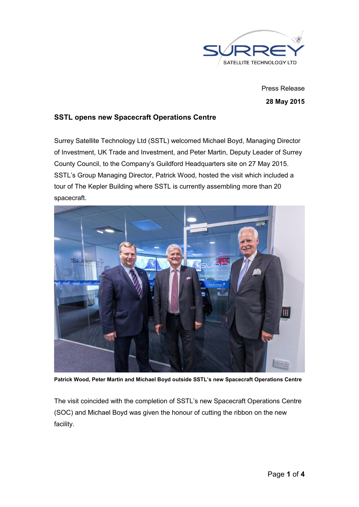

Press Release 28 May 2015

## SSTL opens new Spacecraft Operations Centre

Surrey Satellite Technology Ltd (SSTL) welcomed Michael Boyd, Managing Director of Investment, UK Trade and Investment, and Peter Martin, Deputy Leader of Surrey County Council, to the Company's Guildford Headquarters site on 27 May 2015. SSTL's Group Managing Director, Patrick Wood, hosted the visit which included a tour of The Kepler Building where SSTL is currently assembling more than 20 spacecraft.



Patrick Wood, Peter Martin and Michael Boyd outside SSTL's new Spacecraft Operations Centre

The visit coincided with the completion of SSTL's new Spacecraft Operations Centre (SOC) and Michael Boyd was given the honour of cutting the ribbon on the new facility.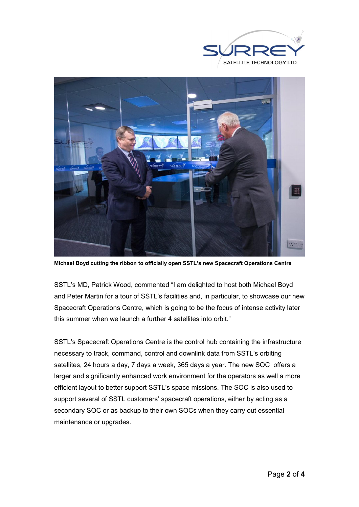



Michael Boyd cutting the ribbon to officially open SSTL's new Spacecraft Operations Centre

SSTL's MD, Patrick Wood, commented "I am delighted to host both Michael Boyd and Peter Martin for a tour of SSTL's facilities and, in particular, to showcase our new Spacecraft Operations Centre, which is going to be the focus of intense activity later this summer when we launch a further 4 satellites into orbit."

SSTL's Spacecraft Operations Centre is the control hub containing the infrastructure necessary to track, command, control and downlink data from SSTL's orbiting satellites, 24 hours a day, 7 days a week, 365 days a year. The new SOC offers a larger and significantly enhanced work environment for the operators as well a more efficient layout to better support SSTL's space missions. The SOC is also used to support several of SSTL customers' spacecraft operations, either by acting as a secondary SOC or as backup to their own SOCs when they carry out essential maintenance or upgrades.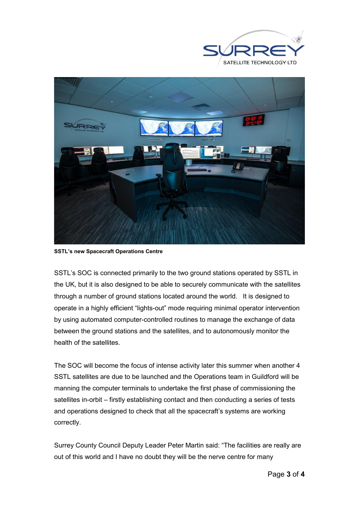



SSTL's new Spacecraft Operations Centre

SSTL's SOC is connected primarily to the two ground stations operated by SSTL in the UK, but it is also designed to be able to securely communicate with the satellites through a number of ground stations located around the world. It is designed to operate in a highly efficient "lights-out" mode requiring minimal operator intervention by using automated computer-controlled routines to manage the exchange of data between the ground stations and the satellites, and to autonomously monitor the health of the satellites.

The SOC will become the focus of intense activity later this summer when another 4 SSTL satellites are due to be launched and the Operations team in Guildford will be manning the computer terminals to undertake the first phase of commissioning the satellites in-orbit – firstly establishing contact and then conducting a series of tests and operations designed to check that all the spacecraft's systems are working correctly.

Surrey County Council Deputy Leader Peter Martin said: "The facilities are really are out of this world and I have no doubt they will be the nerve centre for many